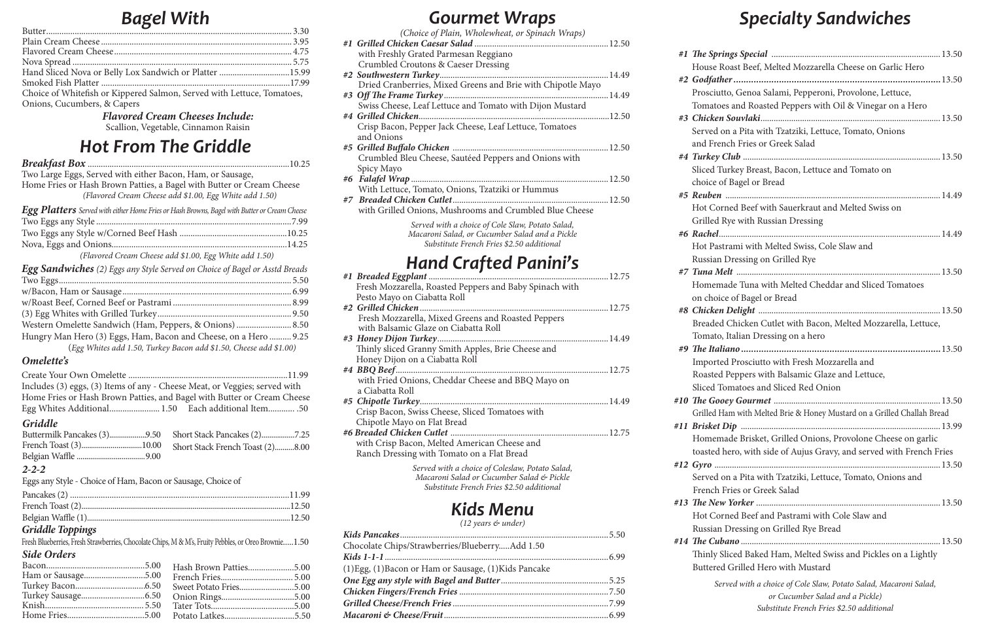# *Gourmet Wraps*

*(12 years & under)*

| Chocolate Chips/Strawberries/BlueberryAdd 1.50         |  |
|--------------------------------------------------------|--|
|                                                        |  |
| (1) Egg, (1) Bacon or Ham or Sausage, (1) Kids Pancake |  |
|                                                        |  |
|                                                        |  |
|                                                        |  |
|                                                        |  |

- #1 The Spr
- #2 Godfatl
- #3 Chicker and Fre
- #4 Turkey Sliced T choice of
- *#5 Reuben* ..................................................................................................14.49 Hot Co Grilled
- *#6 Rachel*.....................................................................................................14.49 Hot Pas Russian

- #8 *Chicker*
- Tomato #9 The Ita
- Import Roasted <sub>Roasted</sub>

- 
- #11 **Brisket**
- #12 *Gyro* ...

- #13 The Ne
	- Hot Co
- Russian #14 *The Cu* 
	- **Buttere**

# *Specialty Sandwiches*

| House Roast Beef, Melted Mozzarella Cheese on Garlic Hero               |
|-------------------------------------------------------------------------|
|                                                                         |
| Prosciutto, Genoa Salami, Pepperoni, Provolone, Lettuce,                |
| Tomatoes and Roasted Peppers with Oil & Vinegar on a Hero               |
|                                                                         |
| Served on a Pita with Tzatziki, Lettuce, Tomato, Onions                 |
| and French Fries or Greek Salad                                         |
|                                                                         |
| Sliced Turkey Breast, Bacon, Lettuce and Tomato on                      |
| choice of Bagel or Bread                                                |
|                                                                         |
| Hot Corned Beef with Sauerkraut and Melted Swiss on                     |
| Grilled Rye with Russian Dressing                                       |
|                                                                         |
| Hot Pastrami with Melted Swiss, Cole Slaw and                           |
| Russian Dressing on Grilled Rye                                         |
|                                                                         |
| Homemade Tuna with Melted Cheddar and Sliced Tomatoes                   |
| on choice of Bagel or Bread                                             |
|                                                                         |
| Breaded Chicken Cutlet with Bacon, Melted Mozzarella, Lettuce,          |
| Tomato, Italian Dressing on a hero                                      |
|                                                                         |
| Imported Prosciutto with Fresh Mozzarella and                           |
| Roasted Peppers with Balsamic Glaze and Lettuce,                        |
| Sliced Tomatoes and Sliced Red Onion                                    |
|                                                                         |
| Grilled Ham with Melted Brie & Honey Mustard on a Grilled Challah Bread |
|                                                                         |
| Homemade Brisket, Grilled Onions, Provolone Cheese on garlic            |
| toasted hero, with side of Aujus Gravy, and served with French Fries    |
|                                                                         |
| Served on a Pita with Tzatziki, Lettuce, Tomato, Onions and             |
| French Fries or Greek Salad                                             |
|                                                                         |
| Hot Corned Beef and Pastrami with Cole Slaw and                         |
| Russian Dressing on Grilled Rye Bread                                   |
|                                                                         |
| Thinly Sliced Baked Ham, Melted Swiss and Pickles on a Lightly          |
| Buttered Grilled Hero with Mustard                                      |
| Served with a choice of Cole Slaw, Potato Salad, Macaroni Salad,        |
| or Cucumber Salad and a Pickle)                                         |
| Substitute French Fries \$2.50 additional                               |

*(Choice of Plain, Wholewheat, or Spinach Wraps) #1 Grilled Chicken Caesar Salad* .............................................................12.50 with Freshly Grated Parmesan Reggiano Crumbled Croutons & Caeser Dressing *#2 Southwestern Turkey*.............................................................................14.49 Dried Cranberries, Mixed Greens and Brie with Chipotle Mayo *#3 Off The Frame Turkey*...........................................................................14.49 Swiss Cheese, Leaf Lettuce and Tomato with Dijon Mustard *#4 Grilled Chicken*.......................................................................................12.50 Crisp Bacon, Pepper Jack Cheese, Leaf Lettuce, Tomatoes and Onions *#5 Grilled Buffalo Chicken* .......................................................................12.50 Crumbled Bleu Cheese, Sautéed Peppers and Onions with Spicy Mayo *#6 Falafel Wrap* ..........................................................................................12.50 With Lettuce, Tomato, Onions, Tzatziki or Hummus *#7 Breaded Chicken Cutlet*.......................................................................12.50 with Grilled Onions, Mushrooms and Crumbled Blue Cheese *Served with a choice of Cole Slaw, Potato Salad, Macaroni Salad, or Cucumber Salad and a Pickle Substitute French Fries \$2.50 additional Hand Crafted Panini's #1 Breaded Eggplant* ..................................................................................12.75 Fresh Mozzarella, Roasted Peppers and Baby Spinach with Pesto Mayo on Ciabatta Roll *#2 Grilled Chicken*......................................................................................12.75 Fresh Mozzarella, Mixed Greens and Roasted Peppers with Balsamic Glaze on Ciabatta Roll *#3 Honey Dijon Turkey*..............................................................................14.49 Thinly sliced Granny Smith Apples, Brie Cheese and Honey Dijon on a Ciabatta Roll *#4 BBQ Beef*.................................................................................................12.75 with Fried Onions, Cheddar Cheese and BBQ Mayo on a Ciabatta Roll *#5 Chipotle Turkey*......................................................................................14.49 Crisp Bacon, Swiss Cheese, Sliced Tomatoes with Chipotle Mayo on Flat Bread *#6 Breaded Chicken Cutlet* ........................................................................12.75 with Crisp Bacon, Melted American Cheese and Ranch Dressing with Tomato on a Flat Bread *Served with a choice of Coleslaw, Potato Salad, Macaroni Salad or Cucumber Salad & Pickle Substitute French Fries \$2.50 additional Kids Menu* PROOF

| Hand Sliced Nova or Belly Lox Sandwich or Platter 15.99                |  |
|------------------------------------------------------------------------|--|
|                                                                        |  |
| Choice of Whitefish or Kippered Salmon, Served with Lettuce, Tomatoes, |  |
|                                                                        |  |

Onions, Cucumbers, & Capers *Flavored Cream Cheeses Include:*

Scallion, Vegetable, Cinnamon Raisin

## *Side Orders*

### *Griddle*

## *Griddle Toppings*

### *2-2-2*

Eggs any Style - Choice of Ham, Bacon or Sausage, Choice of

Fresh Blueberries, Fresh Strawberries, Chocolate Chips, M & M's, Fruity Pebbles, or Oreo Brownie.....1.50

# *Hot From The Griddle*

| Two Large Eggs, Served with either Bacon, Ham, or Sausage, |  |
|------------------------------------------------------------|--|

*Breakfast Box* ............................................................................................10.25

Home Fries or Hash Brown Patties, a Bagel with Butter or Cream Cheese *(Flavored Cream Cheese add \$1.00, Egg White add 1.50)*

| Egg Platters Served with either Home Fries or Hash Browns, Bagel with Butter or Cream Cheese |  |
|----------------------------------------------------------------------------------------------|--|
|                                                                                              |  |
|                                                                                              |  |
|                                                                                              |  |
| (Flavored Cream Cheese add \$1.00, Egg White add 1.50)                                       |  |

| <b>Egg Sandwiches</b> (2) Eggs any Style Served on Choice of Bagel or Asstd Breads |  |
|------------------------------------------------------------------------------------|--|
|                                                                                    |  |
|                                                                                    |  |
|                                                                                    |  |
|                                                                                    |  |
|                                                                                    |  |
| Hungry Man Hero (3) Eggs, Ham, Bacon and Cheese, on a Hero  9.25                   |  |
| (Egg Whites add 1.50, Turkey Bacon add \$1.50, Cheese add \$1.00)                  |  |

## *Omelette's*

| Includes (3) eggs, (3) Items of any - Cheese Meat, or Veggies; served with |  |
|----------------------------------------------------------------------------|--|
| Home Fries or Hash Brown Patties, and Bagel with Butter or Cream Cheese    |  |
|                                                                            |  |
|                                                                            |  |

## *Bagel With*